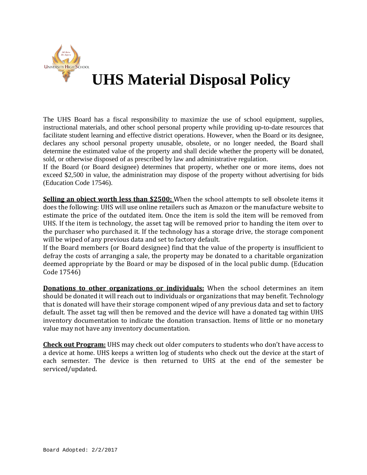

## **UHS Material Disposal Policy**

The UHS Board has a fiscal responsibility to maximize the use of school equipment, supplies, instructional materials, and other school personal property while providing up-to-date resources that facilitate student learning and effective district operations. However, when the Board or its designee, declares any school personal property unusable, obsolete, or no longer needed, the Board shall determine the estimated value of the property and shall decide whether the property will be donated, sold, or otherwise disposed of as prescribed by law and administrative regulation.

If the Board (or Board designee) determines that property, whether one or more items, does not exceed \$2,500 in value, the administration may dispose of the property without advertising for bids (Education Code 17546).

**Selling an object worth less than \$2500:** When the school attempts to sell obsolete items it does the following: UHS will use online retailers such as Amazon or the manufacture website to estimate the price of the outdated item. Once the item is sold the item will be removed from UHS. If the item is technology, the asset tag will be removed prior to handing the item over to the purchaser who purchased it. If the technology has a storage drive, the storage component will be wiped of any previous data and set to factory default.

If the Board members (or Board designee) find that the value of the property is insufficient to defray the costs of arranging a sale, the property may be donated to a charitable organization deemed appropriate by the Board or may be disposed of in the local public dump. (Education Code 17546)

**Donations to other organizations or individuals:** When the school determines an item should be donated it will reach out to individuals or organizations that may benefit. Technology that is donated will have their storage component wiped of any previous data and set to factory default. The asset tag will then be removed and the device will have a donated tag within UHS inventory documentation to indicate the donation transaction. Items of little or no monetary value may not have any inventory documentation.

**Check out Program:** UHS may check out older computers to students who don't have access to a device at home. UHS keeps a written log of students who check out the device at the start of each semester. The device is then returned to UHS at the end of the semester be serviced/updated.